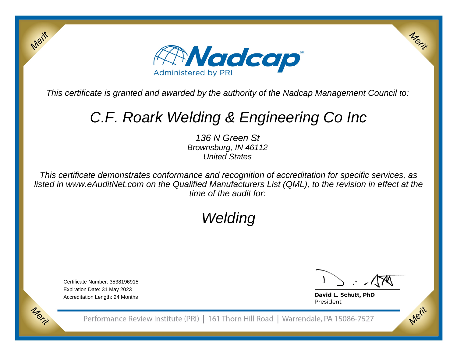

This certificate is granted and awarded by the authority of the Nadcap Management Council to:

# C.F. Roark Welding & Engineering Co Inc

136 N Green St Brownsburg, IN 46112United States

This certificate demonstrates conformance and recognition of accreditation for specific services, as listed in www.eAuditNet.com on the Qualified Manufacturers List (QML), to the revision in effect at thetime of the audit for:

## Welding

Certificate Number: 3538196915Expiration Date: 31 May 2023Accreditation Length: 24 Months

Merit

Merit

Merit

Merit

David L. Schutt, PhD President

Performance Review Institute (PRI) | 161 Thorn Hill Road | Warrendale, PA 15086-7527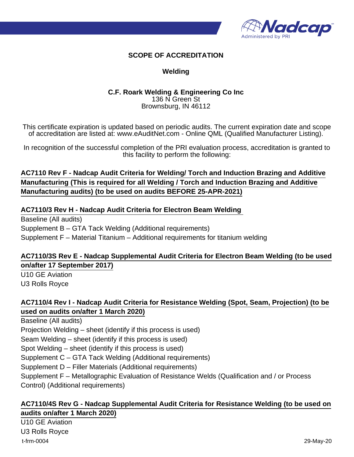

#### **SCOPE OF ACCREDITATION**

#### **Welding**

#### **C.F. Roark Welding & Engineering Co Inc** 136 N Green St Brownsburg, IN 46112

This certificate expiration is updated based on periodic audits. The current expiration date and scope of accreditation are listed at: www.eAuditNet.com - Online QML (Qualified Manufacturer Listing).

In recognition of the successful completion of the PRI evaluation process, accreditation is granted to this facility to perform the following:

#### **AC7110 Rev F - Nadcap Audit Criteria for Welding/ Torch and Induction Brazing and Additive Manufacturing (This is required for all Welding / Torch and Induction Brazing and Additive Manufacturing audits) (to be used on audits BEFORE 25-APR-2021)**

#### **AC7110/3 Rev H - Nadcap Audit Criteria for Electron Beam Welding**

Baseline (All audits) Supplement B – GTA Tack Welding (Additional requirements) Supplement F – Material Titanium – Additional requirements for titanium welding

#### **AC7110/3S Rev E - Nadcap Supplemental Audit Criteria for Electron Beam Welding (to be used on/after 17 September 2017)**

U10 GE Aviation U3 Rolls Royce

#### **AC7110/4 Rev I - Nadcap Audit Criteria for Resistance Welding (Spot, Seam, Projection) (to be used on audits on/after 1 March 2020)**

Baseline (All audits) Projection Welding – sheet (identify if this process is used) Seam Welding – sheet (identify if this process is used) Spot Welding – sheet (identify if this process is used) Supplement C – GTA Tack Welding (Additional requirements) Supplement D – Filler Materials (Additional requirements) Supplement F – Metallographic Evaluation of Resistance Welds (Qualification and / or Process Control) (Additional requirements)

#### **AC7110/4S Rev G - Nadcap Supplemental Audit Criteria for Resistance Welding (to be used on audits on/after 1 March 2020)**

U10 GE Aviation U3 Rolls Royce t-frm-0004 29-May-20